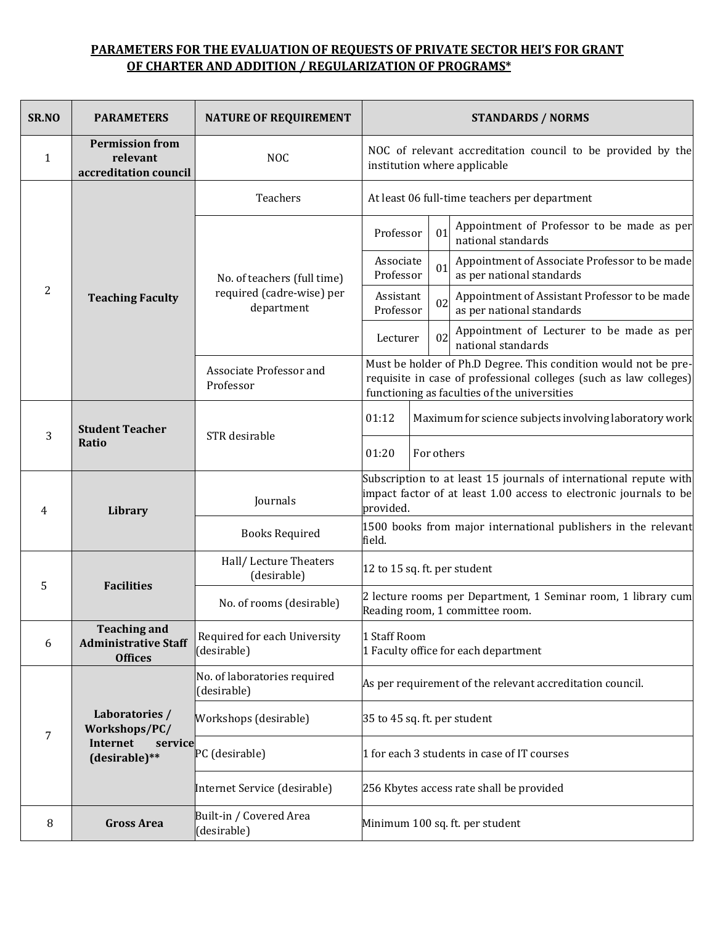## **PARAMETERS FOR THE EVALUATION OF REQUESTS OF PRIVATE SECTOR HEI'S FOR GRANT OF CHARTER AND ADDITION / REGULARIZATION OF PROGRAMS\***

| SR.NO          | <b>PARAMETERS</b>                                                       | <b>NATURE OF REQUIREMENT</b>                                           | <b>STANDARDS / NORMS</b>                                                                                                                                                             |    |                                                                            |  |  |
|----------------|-------------------------------------------------------------------------|------------------------------------------------------------------------|--------------------------------------------------------------------------------------------------------------------------------------------------------------------------------------|----|----------------------------------------------------------------------------|--|--|
| 1              | <b>Permission from</b><br>relevant<br>accreditation council             | <b>NOC</b>                                                             | NOC of relevant accreditation council to be provided by the<br>institution where applicable                                                                                          |    |                                                                            |  |  |
|                | <b>Teaching Faculty</b>                                                 | Teachers                                                               | At least 06 full-time teachers per department                                                                                                                                        |    |                                                                            |  |  |
| $\overline{2}$ |                                                                         |                                                                        | Professor                                                                                                                                                                            | 01 | Appointment of Professor to be made as per<br>national standards           |  |  |
|                |                                                                         | No. of teachers (full time)<br>required (cadre-wise) per<br>department | Associate<br>01<br>Professor                                                                                                                                                         |    | Appointment of Associate Professor to be made<br>as per national standards |  |  |
|                |                                                                         |                                                                        | Assistant<br>Professor                                                                                                                                                               | 02 | Appointment of Assistant Professor to be made<br>as per national standards |  |  |
|                |                                                                         |                                                                        | Lecturer                                                                                                                                                                             | 02 | Appointment of Lecturer to be made as per<br>national standards            |  |  |
|                |                                                                         | Associate Professor and<br>Professor                                   | Must be holder of Ph.D Degree. This condition would not be pre-<br>requisite in case of professional colleges (such as law colleges)<br>functioning as faculties of the universities |    |                                                                            |  |  |
| 3              | <b>Student Teacher</b><br>Ratio                                         | STR desirable                                                          | 01:12                                                                                                                                                                                |    | Maximum for science subjects involving laboratory work                     |  |  |
|                |                                                                         |                                                                        | 01:20<br>For others                                                                                                                                                                  |    |                                                                            |  |  |
| 4              | <b>Library</b>                                                          | Journals                                                               | Subscription to at least 15 journals of international repute with<br>impact factor of at least 1.00 access to electronic journals to be<br>provided.                                 |    |                                                                            |  |  |
|                |                                                                         | <b>Books Required</b>                                                  | 1500 books from major international publishers in the relevant<br>field.                                                                                                             |    |                                                                            |  |  |
| 5              | <b>Facilities</b>                                                       | Hall/Lecture Theaters<br>(desirable)                                   | 12 to 15 sq. ft. per student                                                                                                                                                         |    |                                                                            |  |  |
|                |                                                                         | No. of rooms (desirable)                                               | 2 lecture rooms per Department, 1 Seminar room, 1 library cum<br>Reading room, 1 committee room.                                                                                     |    |                                                                            |  |  |
| 6              | <b>Teaching and</b><br><b>Administrative Staff</b><br><b>Offices</b>    | Required for each University<br>(desirable)                            | 1 Staff Room<br>1 Faculty office for each department                                                                                                                                 |    |                                                                            |  |  |
| $\overline{7}$ | Laboratories /<br>Workshops/PC/<br>Internet<br>service<br>(desirable)** | No. of laboratories required<br>(desirable)                            | As per requirement of the relevant accreditation council.                                                                                                                            |    |                                                                            |  |  |
|                |                                                                         | Workshops (desirable)                                                  | 35 to 45 sq. ft. per student                                                                                                                                                         |    |                                                                            |  |  |
|                |                                                                         | PC (desirable)                                                         | 1 for each 3 students in case of IT courses                                                                                                                                          |    |                                                                            |  |  |
|                |                                                                         | Internet Service (desirable)                                           | 256 Kbytes access rate shall be provided                                                                                                                                             |    |                                                                            |  |  |
| 8              | <b>Gross Area</b>                                                       | Built-in / Covered Area<br>(desirable)                                 | Minimum 100 sq. ft. per student                                                                                                                                                      |    |                                                                            |  |  |